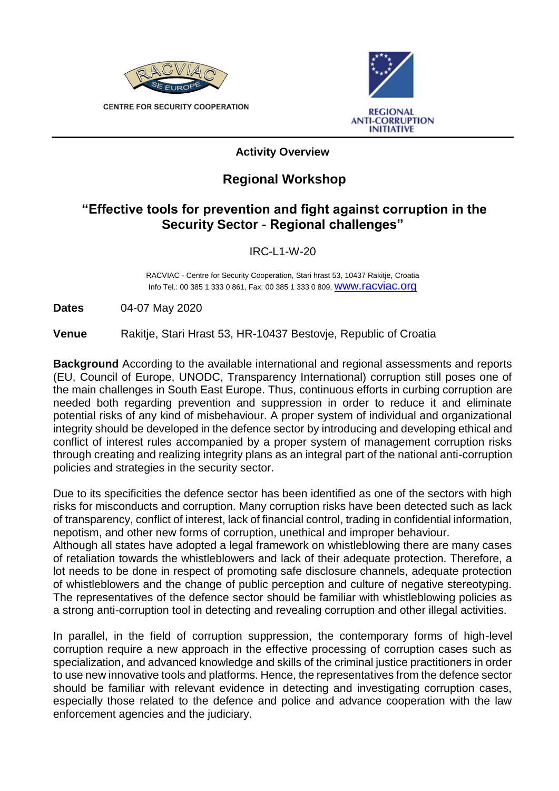

**CENTRE FOR SECURITY COOPERATION** 



## **Activity Overview**

## **Regional Workshop**

## **"Effective tools for prevention and fight against corruption in the Security Sector - Regional challenges"**

## IRC-L1-W-20

RACVIAC - Centre for Security Cooperation, Stari hrast 53, 10437 Rakitje, Croatia Info Tel.: 00 385 1 333 0 861, Fax: 00 385 1 333 0 809, WWW.racviac.org

**Dates** 04-07 May 2020

**Venue** Rakitje, Stari Hrast 53, HR-10437 Bestovje, Republic of Croatia

**Background** According to the available international and regional assessments and reports (EU, Council of Europe, UNODC, Transparency International) corruption still poses one of the main challenges in South East Europe. Thus, continuous efforts in curbing corruption are needed both regarding prevention and suppression in order to reduce it and eliminate potential risks of any kind of misbehaviour. A proper system of individual and organizational integrity should be developed in the defence sector by introducing and developing ethical and conflict of interest rules accompanied by a proper system of management corruption risks through creating and realizing integrity plans as an integral part of the national anti-corruption policies and strategies in the security sector.

Due to its specificities the defence sector has been identified as one of the sectors with high risks for misconducts and corruption. Many corruption risks have been detected such as lack of transparency, conflict of interest, lack of financial control, trading in confidential information, nepotism, and other new forms of corruption, unethical and improper behaviour.

Although all states have adopted a legal framework on whistleblowing there are many cases of retaliation towards the whistleblowers and lack of their adequate protection. Therefore, a lot needs to be done in respect of promoting safe disclosure channels, adequate protection of whistleblowers and the change of public perception and culture of negative stereotyping. The representatives of the defence sector should be familiar with whistleblowing policies as a strong anti-corruption tool in detecting and revealing corruption and other illegal activities.

In parallel, in the field of corruption suppression, the contemporary forms of high-level corruption require a new approach in the effective processing of corruption cases such as specialization, and advanced knowledge and skills of the criminal justice practitioners in order to use new innovative tools and platforms. Hence, the representatives from the defence sector should be familiar with relevant evidence in detecting and investigating corruption cases, especially those related to the defence and police and advance cooperation with the law enforcement agencies and the judiciary.